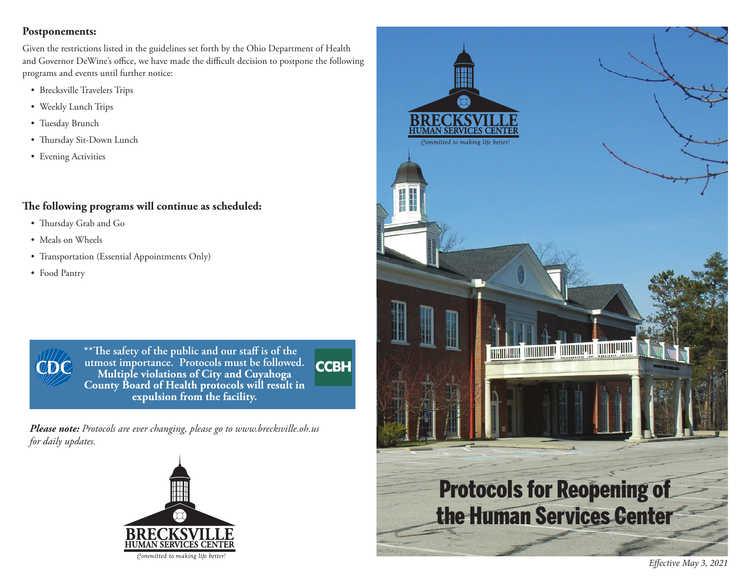#### **Postponements:**

Given the restrictions listed in the guidelines set forth by the Ohio Department of Health and Governor DeWine's office, we have made the difficult decision to postpone the following programs and events until further notice:

- Brecksville Travelers Trips
- Weekly Lunch Trips
- Tuesday Brunch
- Thursday Sit-Down Lunch
- Evening Activities

## **The following programs will continue as scheduled:**

- Thursday Grab and Go
- Meals on Wheels
- Transportation (Essential Appointments Only)
- Food Pantry



**\*\*The safety of the public and our staff is of the utmost importance. Protocols must be followed. CCBH Multiple violations of City and Cuyahoga County Board of Health protocols will result in expulsion from the facility.**

*Please note: Protocols are ever changing, please go to www.brecksville.oh.us for daily updates.*